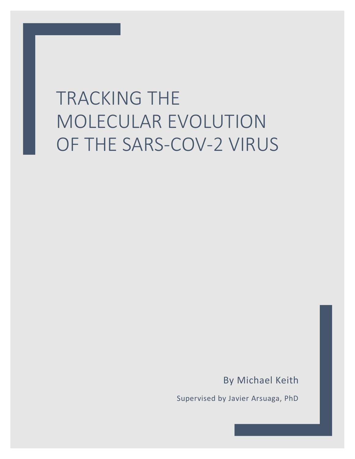# TRACKING THE MOLECULAR EVOLUTION OF THE SARS-COV-2 VIRUS

By Michael Keith

Supervised by Javier Arsuaga, PhD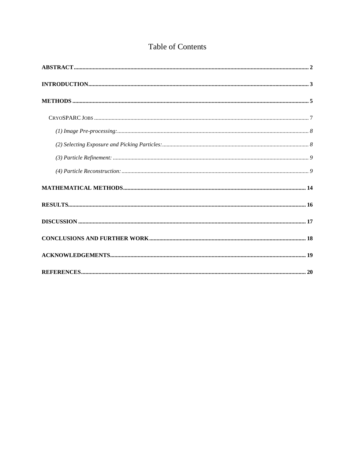# Table of Contents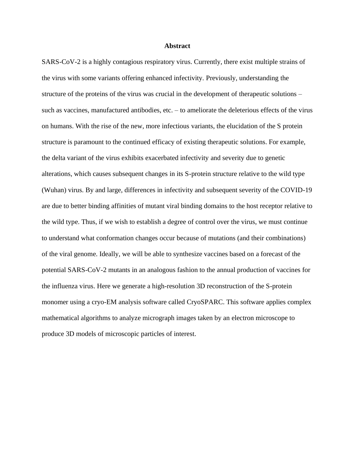#### **Abstract**

<span id="page-2-0"></span>SARS-CoV-2 is a highly contagious respiratory virus. Currently, there exist multiple strains of the virus with some variants offering enhanced infectivity. Previously, understanding the structure of the proteins of the virus was crucial in the development of therapeutic solutions – such as vaccines, manufactured antibodies, etc. – to ameliorate the deleterious effects of the virus on humans. With the rise of the new, more infectious variants, the elucidation of the S protein structure is paramount to the continued efficacy of existing therapeutic solutions. For example, the delta variant of the virus exhibits exacerbated infectivity and severity due to genetic alterations, which causes subsequent changes in its S-protein structure relative to the wild type (Wuhan) virus. By and large, differences in infectivity and subsequent severity of the COVID-19 are due to better binding affinities of mutant viral binding domains to the host receptor relative to the wild type. Thus, if we wish to establish a degree of control over the virus, we must continue to understand what conformation changes occur because of mutations (and their combinations) of the viral genome. Ideally, we will be able to synthesize vaccines based on a forecast of the potential SARS-CoV-2 mutants in an analogous fashion to the annual production of vaccines for the influenza virus. Here we generate a high-resolution 3D reconstruction of the S-protein monomer using a cryo-EM analysis software called CryoSPARC. This software applies complex mathematical algorithms to analyze micrograph images taken by an electron microscope to produce 3D models of microscopic particles of interest.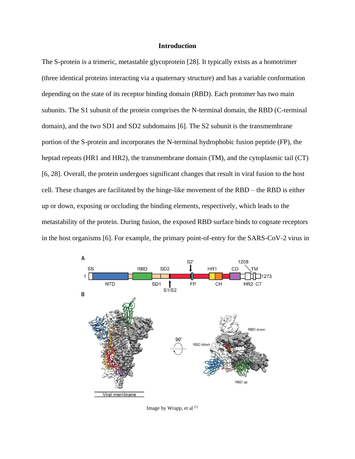## **Introduction**

<span id="page-3-0"></span>The S-protein is a trimeric, metastable glycoprotein [28]. It typically exists as a homotrimer (three identical proteins interacting via a quaternary structure) and has a variable conformation depending on the state of its receptor binding domain (RBD). Each protomer has two main subunits. The S1 subunit of the protein comprises the N-terminal domain, the RBD (C-terminal domain), and the two SD1 and SD2 subdomains [6]. The S2 subunit is the transmembrane portion of the S-protein and incorporates the N-terminal hydrophobic fusion peptide (FP), the heptad repeats (HR1 and HR2), the transmembrane domain (TM), and the cytoplasmic tail (CT) [6, 28]. Overall, the protein undergoes significant changes that result in viral fusion to the host cell. These changes are facilitated by the hinge-like movement of the RBD – the RBD is either up or down, exposing or occluding the binding elements, respectively, which leads to the metastability of the protein. During fusion, the exposed RBD surface binds to cognate receptors in the host organisms [6]. For example, the primary point-of-entry for the SARS-CoV-2 virus in



Image by Wrapp, et al <a>[1]</a>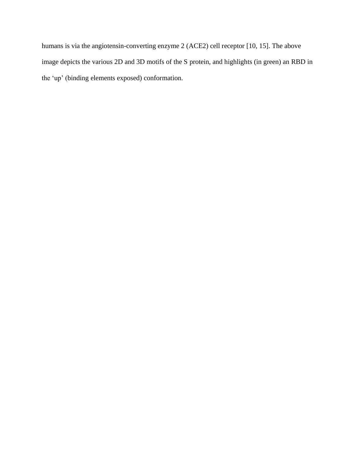humans is via the angiotensin-converting enzyme 2 (ACE2) cell receptor [10, 15]. The above image depicts the various 2D and 3D motifs of the S protein, and highlights (in green) an RBD in the 'up' (binding elements exposed) conformation.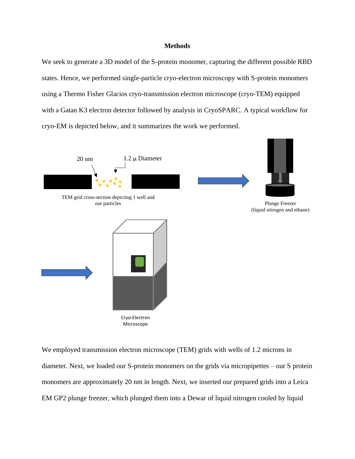#### **Methods**

<span id="page-5-0"></span>We seek to generate a 3D model of the S-protein monomer, capturing the different possible RBD states. Hence, we performed single-particle cryo-electron microscopy with S-protein monomers using a Thermo Fisher Glacios cryo-transmission electron microscope (cryo-TEM) equipped with a Gatan K3 electron detector followed by analysis in CryoSPARC. A typical workflow for cryo-EM is depicted below, and it summarizes the work we performed.



We employed transmission electron microscope (TEM) grids with wells of 1.2 microns in diameter. Next, we loaded our S-protein monomers on the grids via micropipettes – our S protein monomers are approximately 20 nm in length. Next, we inserted our prepared grids into a Leica EM GP2 plunge freezer, which plunged them into a Dewar of liquid nitrogen cooled by liquid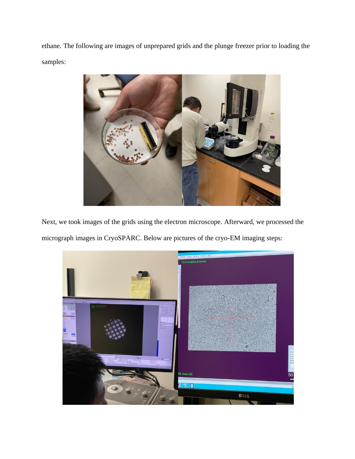ethane. The following are images of unprepared grids and the plunge freezer prior to loading the samples:



Next, we took images of the grids using the electron microscope. Afterward, we processed the micrograph images in CryoSPARC. Below are pictures of the cryo-EM imaging steps:

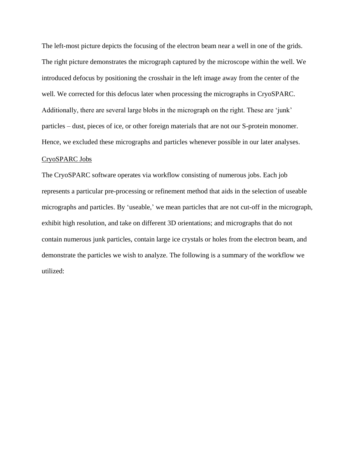The left-most picture depicts the focusing of the electron beam near a well in one of the grids. The right picture demonstrates the micrograph captured by the microscope within the well. We introduced defocus by positioning the crosshair in the left image away from the center of the well. We corrected for this defocus later when processing the micrographs in CryoSPARC. Additionally, there are several large blobs in the micrograph on the right. These are 'junk' particles – dust, pieces of ice, or other foreign materials that are not our S-protein monomer. Hence, we excluded these micrographs and particles whenever possible in our later analyses.

# <span id="page-7-0"></span>CryoSPARC Jobs

The CryoSPARC software operates via workflow consisting of numerous jobs. Each job represents a particular pre-processing or refinement method that aids in the selection of useable micrographs and particles. By 'useable,' we mean particles that are not cut-off in the micrograph, exhibit high resolution, and take on different 3D orientations; and micrographs that do not contain numerous junk particles, contain large ice crystals or holes from the electron beam, and demonstrate the particles we wish to analyze. The following is a summary of the workflow we utilized: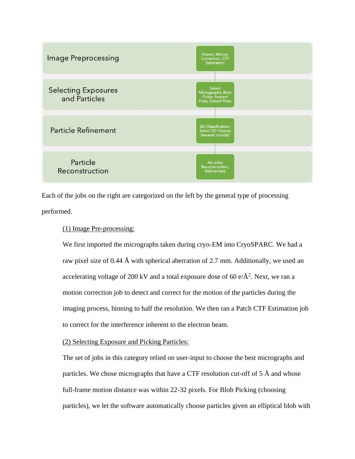

Each of the jobs on the right are categorized on the left by the general type of processing performed.

## <span id="page-8-0"></span>(1) Image Pre-processing:

We first imported the micrographs taken during cryo-EM into CryoSPARC. We had a raw pixel size of 0.44 Å with spherical aberration of 2.7 mm. Additionally, we used an accelerating voltage of 200 kV and a total exposure dose of 60 e/ $\AA$ <sup>2</sup>. Next, we ran a motion correction job to detect and correct for the motion of the particles during the imaging process, binning to half the resolution. We then ran a Patch CTF Estimation job to correct for the interference inherent to the electron beam.

# <span id="page-8-1"></span>(2) Selecting Exposure and Picking Particles:

The set of jobs in this category relied on user-input to choose the best micrographs and particles. We chose micrographs that have a CTF resolution cut-off of 5 Å and whose full-frame motion distance was within 22-32 pixels. For Blob Picking (choosing particles), we let the software automatically choose particles given an elliptical blob with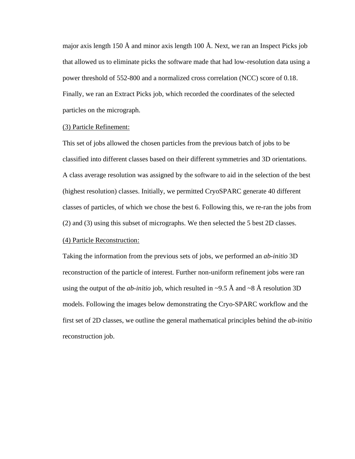major axis length 150 Å and minor axis length 100 Å. Next, we ran an Inspect Picks job that allowed us to eliminate picks the software made that had low-resolution data using a power threshold of 552-800 and a normalized cross correlation (NCC) score of 0.18. Finally, we ran an Extract Picks job, which recorded the coordinates of the selected particles on the micrograph.

#### <span id="page-9-0"></span>(3) Particle Refinement:

This set of jobs allowed the chosen particles from the previous batch of jobs to be classified into different classes based on their different symmetries and 3D orientations. A class average resolution was assigned by the software to aid in the selection of the best (highest resolution) classes. Initially, we permitted CryoSPARC generate 40 different classes of particles, of which we chose the best 6. Following this, we re-ran the jobs from (2) and (3) using this subset of micrographs. We then selected the 5 best 2D classes.

# <span id="page-9-1"></span>(4) Particle Reconstruction:

Taking the information from the previous sets of jobs, we performed an *ab-initio* 3D reconstruction of the particle of interest. Further non-uniform refinement jobs were ran using the output of the *ab-initio* job, which resulted in  $\sim$ 9.5 Å and  $\sim$ 8 Å resolution 3D models. Following the images below demonstrating the Cryo-SPARC workflow and the first set of 2D classes, we outline the general mathematical principles behind the *ab-initio* reconstruction job.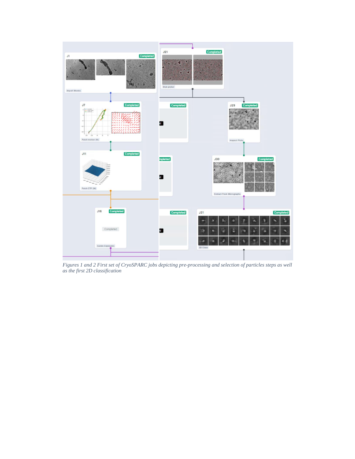

*Figures 1 and 2 First set of CryoSPARC jobs depicting pre-processing and selection of particles steps as well as the first 2D classification*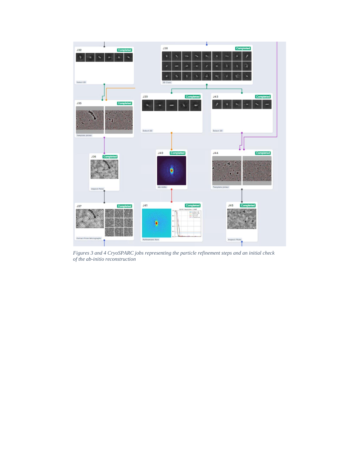

*Figures 3 and 4 CryoSPARC jobs representing the particle refinement steps and an initial check of the ab-initio reconstruction*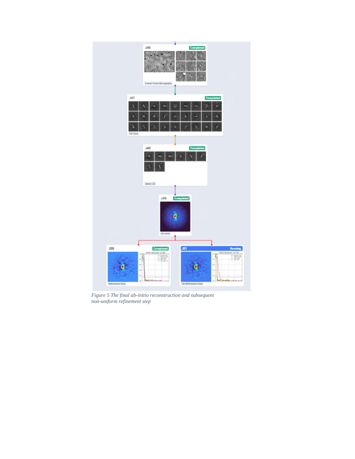

*Figure 5 The final ab-initio reconstruction and subsequent non-uniform refinement step*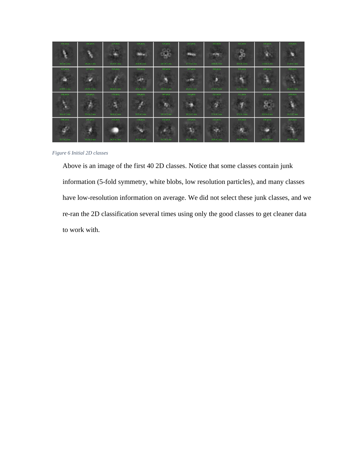| 375 pticis   | 341 ptch.    | 327 ptch     | 126 ptch.     | 324 ptch.     | 323 ptelo    | 322 ptch                | 321 ptch     | 320 ptch.    | 319 preis    |
|--------------|--------------|--------------|---------------|---------------|--------------|-------------------------|--------------|--------------|--------------|
| E.           |              |              |               |               |              | <b>SERVICE</b><br>ning. | o<br>4       |              |              |
| 16.5 A 1 ess | 18.1 A 1 em  | 15.0 A 1 ess | 16.0 A 1 ess  | 14.5 A 1 etc. | 175 A 1 ess  | 148A1 ets               | 16.4 A 1 ess | 15.6 A 1 ess | 17.4 A 1 ess |
| 317 otich    | 317 ptcls    | 312 ptcls    | 311 ptcls     | 308 ptcls     | 107 ptch     | 304 ptch.               | 300 ptcls    | 295 ptch     | 288 ptcls    |
| <b>COLOR</b> |              |              | <b>SOL</b>    | ٦             | 100          | Ð                       |              | d            |              |
| 149 A 1 ess  | 25.9 A 1 ess | 168A1 ess    | 16.0 A I etc. | 19.2 A 1 mm   | 15.0 A 1 ess | 171Aless                | 23.2 A 1 ess | 17.5 A 1 ess | 16:6 A Linis |
| 286 ptcis    | 279 ptcls    | 275 otcis    | 266 pros      | 264 ptcls     | 258 ptcls    | 252 ptcls               | 251 ptch.    | 249 ptcls    | 249 ptcls    |
| <b>PRI</b>   |              |              | r             | æ             |              |                         |              | 毊            |              |
| 16.6 A 1 ess | 15.6 A 1 ass | 16.6 A 1 ess | 189A1 est     | 20.1 A 1 mil  | 18.1 A 1 ess | 17.4 A 1 ess            | 17.6 A 1 ess | 20.0 A 1 ess | 20.2 A 1 ass |
| 248 otcls.   | 245 ptcls    | 243 ptcls    | 238 ptcls     | 233 ptcls     | 229 ptcls    | 222 ptcls               | 215 ptcls    | 206 ptcls    | 203 ptcls    |
| <b>SP</b>    | u            |              | ۰             |               | 137          |                         | æ            | ь            |              |
| 23.7 A 1 ess | $20.3A$ ess  | 16.7 A 1 ess | $19.3A1$ ess  | 25 7 A 1 ess  | 18.1 A 1 ess | 18.8 A 1 ess            | 20:3 A 1 ess | 20.2 A 1 ess | 20.7.A.1.ess |

*Figure 6 Initial 2D classes*

Above is an image of the first 40 2D classes. Notice that some classes contain junk information (5-fold symmetry, white blobs, low resolution particles), and many classes have low-resolution information on average. We did not select these junk classes, and we re-ran the 2D classification several times using only the good classes to get cleaner data to work with.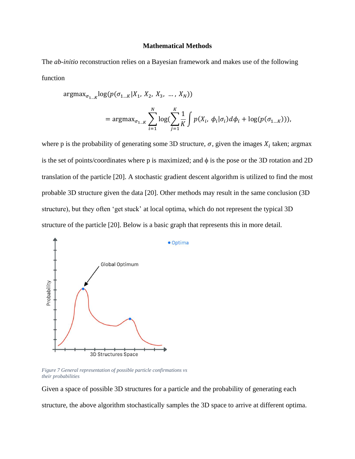#### **Mathematical Methods**

<span id="page-14-0"></span>The *ab-initio* reconstruction relies on a Bayesian framework and makes use of the following function

$$
\begin{aligned} \operatorname{argmax}_{\sigma_{1...K}} & \log(p(\sigma_{1...K}|X_1, X_2, X_3, ..., X_N)) \\ &= \operatorname{argmax}_{\sigma_{1...K}} \sum_{i=1}^N \log(\sum_{j=1}^K \frac{1}{K} \int p(X_i, \phi_i | \sigma_i) d\phi_i + \log(p(\sigma_{1...K}))), \end{aligned}
$$

where p is the probability of generating some 3D structure,  $\sigma$ , given the images  $X_i$  taken; argmax is the set of points/coordinates where  $p$  is maximized; and  $\phi$  is the pose or the 3D rotation and 2D translation of the particle [20]. A stochastic gradient descent algorithm is utilized to find the most probable 3D structure given the data [20]. Other methods may result in the same conclusion (3D structure), but they often 'get stuck' at local optima, which do not represent the typical 3D structure of the particle [20]. Below is a basic graph that represents this in more detail.



*Figure 7 General representation of possible particle confirmations vs their probabilities*

Given a space of possible 3D structures for a particle and the probability of generating each structure, the above algorithm stochastically samples the 3D space to arrive at different optima.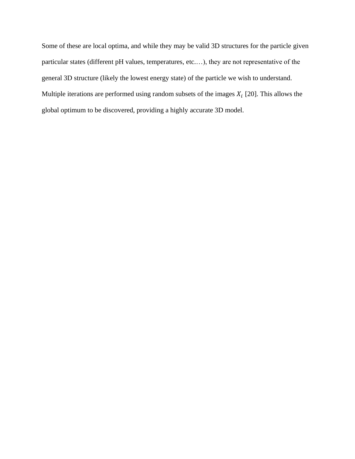Some of these are local optima, and while they may be valid 3D structures for the particle given particular states (different pH values, temperatures, etc.…), they are not representative of the general 3D structure (likely the lowest energy state) of the particle we wish to understand. Multiple iterations are performed using random subsets of the images  $X_i$  [20]. This allows the global optimum to be discovered, providing a highly accurate 3D model.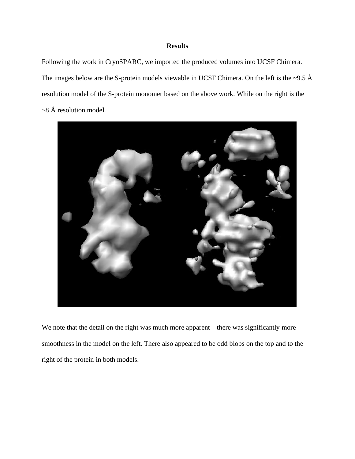# **Results**

<span id="page-16-0"></span>Following the work in CryoSPARC, we imported the produced volumes into UCSF Chimera. The images below are the S-protein models viewable in UCSF Chimera. On the left is the  $\sim$ 9.5 Å resolution model of the S-protein monomer based on the above work. While on the right is the ~8 Å resolution model.



We note that the detail on the right was much more apparent – there was significantly more smoothness in the model on the left. There also appeared to be odd blobs on the top and to the right of the protein in both models.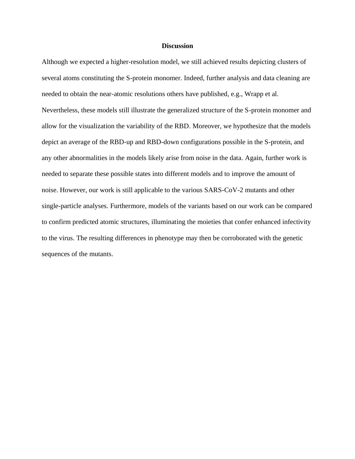#### **Discussion**

<span id="page-17-0"></span>Although we expected a higher-resolution model, we still achieved results depicting clusters of several atoms constituting the S-protein monomer. Indeed, further analysis and data cleaning are needed to obtain the near-atomic resolutions others have published, e.g., Wrapp et al. Nevertheless, these models still illustrate the generalized structure of the S-protein monomer and allow for the visualization the variability of the RBD. Moreover, we hypothesize that the models depict an average of the RBD-up and RBD-down configurations possible in the S-protein, and any other abnormalities in the models likely arise from noise in the data. Again, further work is needed to separate these possible states into different models and to improve the amount of noise. However, our work is still applicable to the various SARS-CoV-2 mutants and other single-particle analyses. Furthermore, models of the variants based on our work can be compared to confirm predicted atomic structures, illuminating the moieties that confer enhanced infectivity to the virus. The resulting differences in phenotype may then be corroborated with the genetic sequences of the mutants.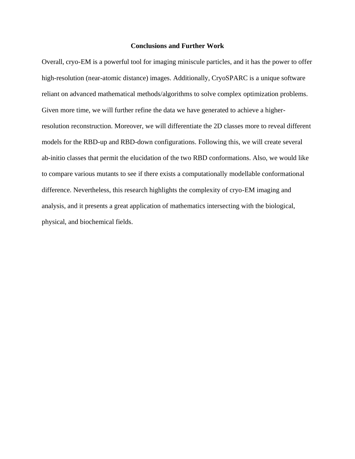#### **Conclusions and Further Work**

<span id="page-18-0"></span>Overall, cryo-EM is a powerful tool for imaging miniscule particles, and it has the power to offer high-resolution (near-atomic distance) images. Additionally, CryoSPARC is a unique software reliant on advanced mathematical methods/algorithms to solve complex optimization problems. Given more time, we will further refine the data we have generated to achieve a higherresolution reconstruction. Moreover, we will differentiate the 2D classes more to reveal different models for the RBD-up and RBD-down configurations. Following this, we will create several ab-initio classes that permit the elucidation of the two RBD conformations. Also, we would like to compare various mutants to see if there exists a computationally modellable conformational difference. Nevertheless, this research highlights the complexity of cryo-EM imaging and analysis, and it presents a great application of mathematics intersecting with the biological, physical, and biochemical fields.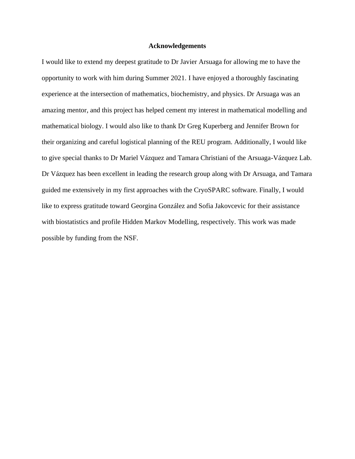#### **Acknowledgements**

<span id="page-19-0"></span>I would like to extend my deepest gratitude to Dr Javier Arsuaga for allowing me to have the opportunity to work with him during Summer 2021. I have enjoyed a thoroughly fascinating experience at the intersection of mathematics, biochemistry, and physics. Dr Arsuaga was an amazing mentor, and this project has helped cement my interest in mathematical modelling and mathematical biology. I would also like to thank Dr Greg Kuperberg and Jennifer Brown for their organizing and careful logistical planning of the REU program. Additionally, I would like to give special thanks to Dr Mariel Vázquez and Tamara Christiani of the Arsuaga-Vázquez Lab. Dr Vázquez has been excellent in leading the research group along with Dr Arsuaga, and Tamara guided me extensively in my first approaches with the CryoSPARC software. Finally, I would like to express gratitude toward Georgina González and Sofia Jakovcevic for their assistance with biostatistics and profile Hidden Markov Modelling, respectively. This work was made possible by funding from the NSF.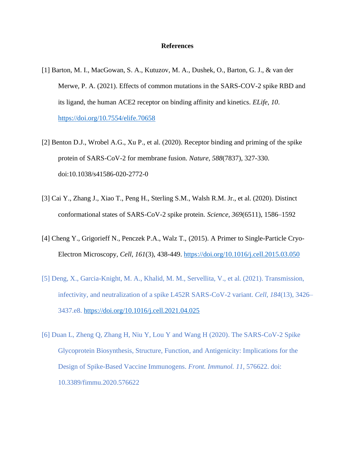#### **References**

- <span id="page-20-0"></span>[1] Barton, M. I., MacGowan, S. A., Kutuzov, M. A., Dushek, O., Barton, G. J., & van der Merwe, P. A. (2021). Effects of common mutations in the SARS-COV-2 spike RBD and its ligand, the human ACE2 receptor on binding affinity and kinetics. *ELife*, *10*. <https://doi.org/10.7554/elife.70658>
- [2] Benton D.J., Wrobel A.G., Xu P., et al. (2020). Receptor binding and priming of the spike protein of SARS-CoV-2 for membrane fusion. *Nature*, *588*(7837), 327-330. doi:10.1038/s41586-020-2772-0
- [3] Cai Y., Zhang J., Xiao T., Peng H., Sterling S.M., Walsh R.M. Jr., et al. (2020). Distinct conformational states of SARS-CoV-2 spike protein. *Science*, *369*(6511), 1586–1592
- [4] Cheng Y., Grigorieff N., Penczek P.A., Walz T., (2015). A Primer to Single-Particle Cryo-Electron Microscopy, *Cell*, *161*(3), 438-449. <https://doi.org/10.1016/j.cell.2015.03.050>
- [5] Deng, X., Garcia-Knight, M. A., Khalid, M. M., Servellita, V., et al. (2021). Transmission, infectivity, and neutralization of a spike L452R SARS-CoV-2 variant. *Cell*, *184*(13), 3426– 3437.e8.<https://doi.org/10.1016/j.cell.2021.04.025>
- [6] Duan L, Zheng Q, Zhang H, Niu Y, Lou Y and Wang H (2020). The SARS-CoV-2 Spike Glycoprotein Biosynthesis, Structure, Function, and Antigenicity: Implications for the Design of Spike-Based Vaccine Immunogens. *Front. Immunol. 11*, 576622. doi: 10.3389/fimmu.2020.576622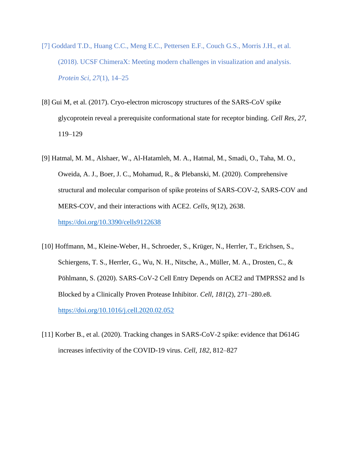- [7] Goddard T.D., Huang C.C., Meng E.C., Pettersen E.F., Couch G.S., Morris J.H., et al. (2018). UCSF ChimeraX: Meeting modern challenges in visualization and analysis. *Protein Sci*, *27*(1), 14–25
- [8] Gui M, et al. (2017). Cryo-electron microscopy structures of the SARS-CoV spike glycoprotein reveal a prerequisite conformational state for receptor binding. *Cell Res*, *27*, 119–129
- [9] Hatmal, M. M., Alshaer, W., Al-Hatamleh, M. A., Hatmal, M., Smadi, O., Taha, M. O., Oweida, A. J., Boer, J. C., Mohamud, R., & Plebanski, M. (2020). Comprehensive structural and molecular comparison of spike proteins of SARS-COV-2, SARS-COV and MERS-COV, and their interactions with ACE2. *Cells*, *9*(12), 2638. <https://doi.org/10.3390/cells9122638>
- [10] Hoffmann, M., Kleine-Weber, H., Schroeder, S., Krüger, N., Herrler, T., Erichsen, S., Schiergens, T. S., Herrler, G., Wu, N. H., Nitsche, A., Müller, M. A., Drosten, C., & Pöhlmann, S. (2020). SARS-CoV-2 Cell Entry Depends on ACE2 and TMPRSS2 and Is Blocked by a Clinically Proven Protease Inhibitor. *Cell*, *181*(2), 271–280.e8. <https://doi.org/10.1016/j.cell.2020.02.052>
- [11] Korber B., et al. (2020). Tracking changes in SARS-CoV-2 spike: evidence that D614G increases infectivity of the COVID-19 virus. *Cell*, *182*, 812–827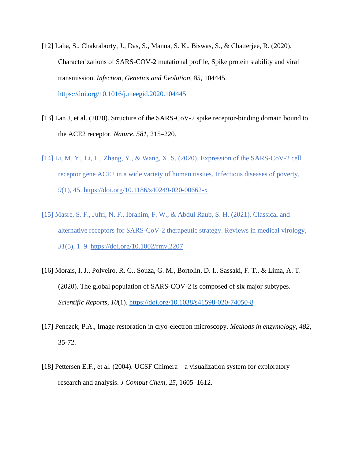- [12] Laha, S., Chakraborty, J., Das, S., Manna, S. K., Biswas, S., & Chatterjee, R. (2020). Characterizations of SARS-COV-2 mutational profile, Spike protein stability and viral transmission. *Infection, Genetics and Evolution*, *85*, 104445. <https://doi.org/10.1016/j.meegid.2020.104445>
- [13] Lan J, et al. (2020). Structure of the SARS-CoV-2 spike receptor-binding domain bound to the ACE2 receptor. *Nature*, *581*, 215–220.
- [14] Li, M. Y., Li, L., Zhang, Y., & Wang, X. S. (2020). Expression of the SARS-CoV-2 cell receptor gene ACE2 in a wide variety of human tissues. Infectious diseases of poverty, *9*(1), 45.<https://doi.org/10.1186/s40249-020-00662-x>
- [15] Masre, S. F., Jufri, N. F., Ibrahim, F. W., & Abdul Raub, S. H. (2021). Classical and alternative receptors for SARS-CoV-2 therapeutic strategy. Reviews in medical virology, *31*(5), 1–9.<https://doi.org/10.1002/rmv.2207>
- [16] Morais, I. J., Polveiro, R. C., Souza, G. M., Bortolin, D. I., Sassaki, F. T., & Lima, A. T. (2020). The global population of SARS-COV-2 is composed of six major subtypes. *Scientific Reports*, *10*(1).<https://doi.org/10.1038/s41598-020-74050-8>
- [17] Penczek, P.A., Image restoration in cryo-electron microscopy. *Methods in enzymology*, *482*, 35-72.
- [18] Pettersen E.F., et al. (2004). UCSF Chimera—a visualization system for exploratory research and analysis. *J Comput Chem*, *25*, 1605–1612.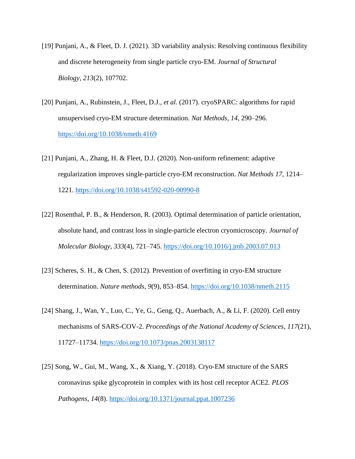- [19] Punjani, A., & Fleet, D. J. (2021). 3D variability analysis: Resolving continuous flexibility and discrete heterogeneity from single particle cryo-EM. *Journal of Structural Biology*, *213*(2), 107702.
- [20] Punjani, A., Rubinstein, J., Fleet, D.J., *et al.* (2017). cryoSPARC: algorithms for rapid unsupervised cryo-EM structure determination. *Nat Methods*, *14*, 290–296. <https://doi.org/10.1038/nmeth.4169>
- [21] Punjani, A., Zhang, H. & Fleet, D.J. (2020). Non-uniform refinement: adaptive regularization improves single-particle cryo-EM reconstruction. *Nat Methods 17*, 1214– 1221.<https://doi.org/10.1038/s41592-020-00990-8>
- [22] Rosenthal, P. B., & Henderson, R. (2003). Optimal determination of particle orientation, absolute hand, and contrast loss in single-particle electron cryomicroscopy. *Journal of Molecular Biology*, *333*(4), 721–745.<https://doi.org/10.1016/j.jmb.2003.07.013>
- [23] Scheres, S. H., & Chen, S. (2012). Prevention of overfitting in cryo-EM structure determination. *Nature methods*, *9*(9), 853–854.<https://doi.org/10.1038/nmeth.2115>
- [24] Shang, J., Wan, Y., Luo, C., Ye, G., Geng, Q., Auerbach, A., & Li, F. (2020). Cell entry mechanisms of SARS-COV-2. *Proceedings of the National Academy of Sciences*, *117*(21), 11727–11734.<https://doi.org/10.1073/pnas.2003138117>
- [25] Song, W., Gui, M., Wang, X., & Xiang, Y. (2018). Cryo-EM structure of the SARS coronavirus spike glycoprotein in complex with its host cell receptor ACE2. *PLOS Pathogens*, *14*(8).<https://doi.org/10.1371/journal.ppat.1007236>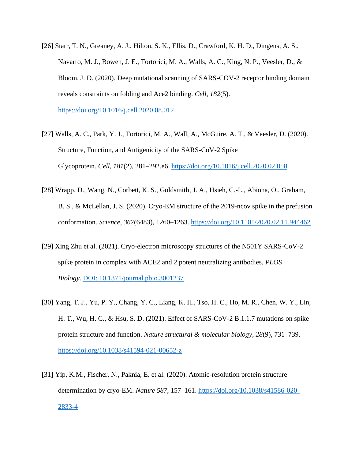- [26] Starr, T. N., Greaney, A. J., Hilton, S. K., Ellis, D., Crawford, K. H. D., Dingens, A. S., Navarro, M. J., Bowen, J. E., Tortorici, M. A., Walls, A. C., King, N. P., Veesler, D., & Bloom, J. D. (2020). Deep mutational scanning of SARS-COV-2 receptor binding domain reveals constraints on folding and Ace2 binding. *Cell*, *182*(5). <https://doi.org/10.1016/j.cell.2020.08.012>
- [27] Walls, A. C., Park, Y. J., Tortorici, M. A., Wall, A., McGuire, A. T., & Veesler, D. (2020). Structure, Function, and Antigenicity of the SARS-CoV-2 Spike Glycoprotein. *Cell*, *181*(2), 281–292.e6.<https://doi.org/10.1016/j.cell.2020.02.058>
- [28] Wrapp, D., Wang, N., Corbett, K. S., Goldsmith, J. A., Hsieh, C.-L., Abiona, O., Graham, B. S., & McLellan, J. S. (2020). Cryo-EM structure of the 2019-ncov spike in the prefusion conformation. *Science*, *367*(6483), 1260–1263.<https://doi.org/10.1101/2020.02.11.944462>
- [29] Xing Zhu et al. (2021). Cryo-electron microscopy structures of the N501Y SARS-CoV-2 spike protein in complex with ACE2 and 2 potent neutralizing antibodies, *PLOS Biology*. [DOI: 10.1371/journal.pbio.3001237](http://dx.doi.org/10.1371/journal.pbio.3001237)
- [30] Yang, T. J., Yu, P. Y., Chang, Y. C., Liang, K. H., Tso, H. C., Ho, M. R., Chen, W. Y., Lin, H. T., Wu, H. C., & Hsu, S. D. (2021). Effect of SARS-CoV-2 B.1.1.7 mutations on spike protein structure and function. *Nature structural & molecular biology*, *28*(9), 731–739. <https://doi.org/10.1038/s41594-021-00652-z>
- [31] Yip, K.M., Fischer, N., Paknia, E. et al. (2020). Atomic-resolution protein structure determination by cryo-EM. *Nature 587*, 157–161. [https://doi.org/10.1038/s41586-020-](https://doi.org/10.1038/s41586-020-2833-4) [2833-4](https://doi.org/10.1038/s41586-020-2833-4)